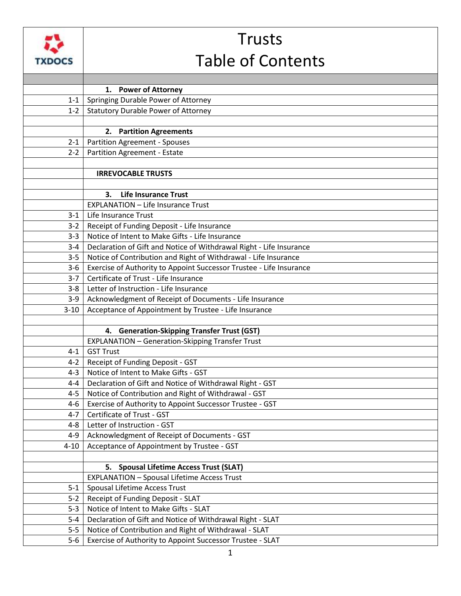

## Trusts Table of Contents

|          | 1. Power of Attorney                                                |
|----------|---------------------------------------------------------------------|
| $1 - 1$  | Springing Durable Power of Attorney                                 |
| $1 - 2$  | <b>Statutory Durable Power of Attorney</b>                          |
|          |                                                                     |
|          | 2. Partition Agreements                                             |
| $2 - 1$  | <b>Partition Agreement - Spouses</b>                                |
| $2 - 2$  | Partition Agreement - Estate                                        |
|          |                                                                     |
|          | <b>IRREVOCABLE TRUSTS</b>                                           |
|          |                                                                     |
|          | <b>Life Insurance Trust</b><br>З.                                   |
|          | <b>EXPLANATION - Life Insurance Trust</b>                           |
| $3 - 1$  | Life Insurance Trust                                                |
| $3-2$    | Receipt of Funding Deposit - Life Insurance                         |
| $3 - 3$  | Notice of Intent to Make Gifts - Life Insurance                     |
| $3 - 4$  | Declaration of Gift and Notice of Withdrawal Right - Life Insurance |
| $3 - 5$  | Notice of Contribution and Right of Withdrawal - Life Insurance     |
| $3 - 6$  | Exercise of Authority to Appoint Successor Trustee - Life Insurance |
| $3 - 7$  | Certificate of Trust - Life Insurance                               |
| $3 - 8$  | Letter of Instruction - Life Insurance                              |
| $3-9$    | Acknowledgment of Receipt of Documents - Life Insurance             |
| $3 - 10$ | Acceptance of Appointment by Trustee - Life Insurance               |
|          |                                                                     |
|          | 4. Generation-Skipping Transfer Trust (GST)                         |
|          | <b>EXPLANATION - Generation-Skipping Transfer Trust</b>             |
| $4 - 1$  | <b>GST Trust</b>                                                    |
| $4 - 2$  | Receipt of Funding Deposit - GST                                    |
| $4 - 3$  | Notice of Intent to Make Gifts - GST                                |
| $4 - 4$  | Declaration of Gift and Notice of Withdrawal Right - GST            |
| $4 - 5$  | Notice of Contribution and Right of Withdrawal - GST                |
| 4-6      | Exercise of Authority to Appoint Successor Trustee - GST            |
| $4-7$    | Certificate of Trust - GST                                          |
| $4 - 8$  | Letter of Instruction - GST                                         |
| $4 - 9$  | Acknowledgment of Receipt of Documents - GST                        |
| $4 - 10$ | Acceptance of Appointment by Trustee - GST                          |
|          |                                                                     |
|          | 5. Spousal Lifetime Access Trust (SLAT)                             |
|          | <b>EXPLANATION - Spousal Lifetime Access Trust</b>                  |
| $5-1$    | Spousal Lifetime Access Trust                                       |
| $5 - 2$  | Receipt of Funding Deposit - SLAT                                   |
| $5 - 3$  | Notice of Intent to Make Gifts - SLAT                               |
| $5 - 4$  | Declaration of Gift and Notice of Withdrawal Right - SLAT           |
| $5 - 5$  | Notice of Contribution and Right of Withdrawal - SLAT               |
| $5-6$    | Exercise of Authority to Appoint Successor Trustee - SLAT           |